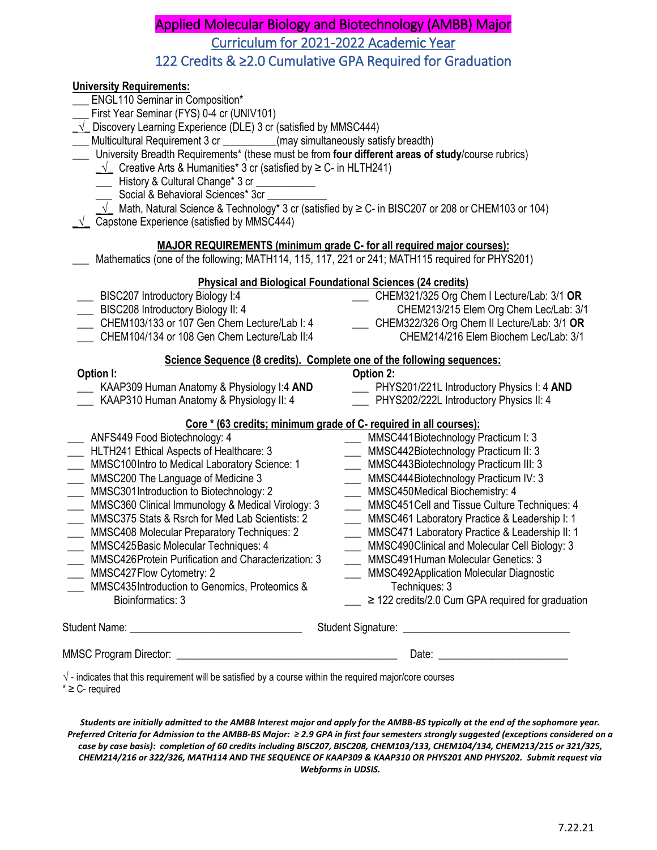# Applied Molecular Biology and Biotechnology (AMBB) Major Curriculum for 2021-2022 Academic Year 122 Credits & ≥2.0 Cumulative GPA Required for Graduation

| $\sqrt{\ }$ - indicates that this requirement will be satisfied by a course within the required major/core courses                                                                                                                                                                                                                                                                                                                                                                                                                                                                                                                                                                                                                                                                                                                              |                                                                                                                                                                                                                                                                                                                                                                                                                                                                                                                                                                       |
|-------------------------------------------------------------------------------------------------------------------------------------------------------------------------------------------------------------------------------------------------------------------------------------------------------------------------------------------------------------------------------------------------------------------------------------------------------------------------------------------------------------------------------------------------------------------------------------------------------------------------------------------------------------------------------------------------------------------------------------------------------------------------------------------------------------------------------------------------|-----------------------------------------------------------------------------------------------------------------------------------------------------------------------------------------------------------------------------------------------------------------------------------------------------------------------------------------------------------------------------------------------------------------------------------------------------------------------------------------------------------------------------------------------------------------------|
|                                                                                                                                                                                                                                                                                                                                                                                                                                                                                                                                                                                                                                                                                                                                                                                                                                                 |                                                                                                                                                                                                                                                                                                                                                                                                                                                                                                                                                                       |
| Core * (63 credits; minimum grade of C- required in all courses):<br>ANFS449 Food Biotechnology: 4<br>HLTH241 Ethical Aspects of Healthcare: 3<br>MMSC100Intro to Medical Laboratory Science: 1<br>MMSC200 The Language of Medicine 3<br>MMSC301 Introduction to Biotechnology: 2<br>MMSC360 Clinical Immunology & Medical Virology: 3<br>MMSC375 Stats & Rsrch for Med Lab Scientists: 2<br><b>MMSC408 Molecular Preparatory Techniques: 2</b><br><b>MMSC425Basic Molecular Techniques: 4</b><br><b>MMSC426Protein Purification and Characterization: 3</b><br>MMSC427Flow Cytometry: 2<br>MMSC435Introduction to Genomics, Proteomics &<br>Bioinformatics: 3                                                                                                                                                                                  | MMSC441Biotechnology Practicum I: 3<br>MMSC442Biotechnology Practicum II: 3<br>MMSC443Biotechnology Practicum III: 3<br>MMSC444Biotechnology Practicum IV: 3<br>MMSC450Medical Biochemistry: 4<br>MMSC451Cell and Tissue Culture Techniques: 4<br>MMSC461 Laboratory Practice & Leadership I: 1<br>MMSC471 Laboratory Practice & Leadership II: 1<br>MMSC490Clinical and Molecular Cell Biology: 3<br><b>MMSC491Human Molecular Genetics: 3</b><br>MMSC492Application Molecular Diagnostic<br>Techniques: 3<br>$\geq$ 122 credits/2.0 Cum GPA required for graduation |
| Science Sequence (8 credits). Complete one of the following sequences:<br>Option I:<br><b>EXAMPED</b> KAAP309 Human Anatomy & Physiology I:4 AND<br><b>KAAP310 Human Anatomy &amp; Physiology II: 4</b>                                                                                                                                                                                                                                                                                                                                                                                                                                                                                                                                                                                                                                         | Option 2:<br>___ PHYS201/221L Introductory Physics I: 4 AND<br>PHYS202/222L Introductory Physics II: 4                                                                                                                                                                                                                                                                                                                                                                                                                                                                |
| Mathematics (one of the following; MATH114, 115, 117, 221 or 241; MATH115 required for PHYS201)<br><b>Physical and Biological Foundational Sciences (24 credits)</b><br>BISC207 Introductory Biology I:4<br>BISC208 Introductory Biology II: 4<br>CHEM103/133 or 107 Gen Chem Lecture/Lab I: 4<br>CHEM104/134 or 108 Gen Chem Lecture/Lab II:4                                                                                                                                                                                                                                                                                                                                                                                                                                                                                                  | CHEM321/325 Org Chem I Lecture/Lab: 3/1 OR<br>$\overline{\phantom{a}}$<br>CHEM213/215 Elem Org Chem Lec/Lab: 3/1<br>CHEM322/326 Org Chem II Lecture/Lab: 3/1 OR<br>CHEM214/216 Elem Biochem Lec/Lab: 3/1                                                                                                                                                                                                                                                                                                                                                              |
| <b>ENGL110 Seminar in Composition*</b><br>First Year Seminar (FYS) 0-4 cr (UNIV101)<br>$\sqrt{\phantom{a}}$ Discovery Learning Experience (DLE) 3 cr (satisfied by MMSC444)<br>Multicultural Requirement 3 cr __________(may simultaneously satisfy breadth)<br>University Breadth Requirements* (these must be from four different areas of study/course rubrics)<br>$\sqrt{\phantom{a}}$ Creative Arts & Humanities* 3 cr (satisfied by $\geq$ C- in HLTH241)<br>History & Cultural Change* 3 cr<br>$\overline{\phantom{a}}$<br>Social & Behavioral Sciences* 3cr<br>$\sqrt{\phantom{a}}$ Math, Natural Science & Technology* 3 cr (satisfied by ≥ C- in BISC207 or 208 or CHEM103 or 104)<br>$\sqrt{\phantom{a}}$ Capstone Experience (satisfied by MMSC444)<br><b>MAJOR REQUIREMENTS (minimum grade C- for all required major courses):</b> |                                                                                                                                                                                                                                                                                                                                                                                                                                                                                                                                                                       |

 $* \geq C$ - required

**University Requirements:**

*Students are initially admitted to the AMBB Interest major and apply for the AMBB-BS typically at the end of the sophomore year. Preferred Criteria for Admission to the AMBB-BS Major: ≥ 2.9 GPA in first four semesters strongly suggested (exceptions considered on a case by case basis): completion of 60 credits including BISC207, BISC208, CHEM103/133, CHEM104/134, CHEM213/215 or 321/325, CHEM214/216 or 322/326, MATH114 AND THE SEQUENCE OF KAAP309 & KAAP310 OR PHYS201 AND PHYS202. Submit request via Webforms in UDSIS.*